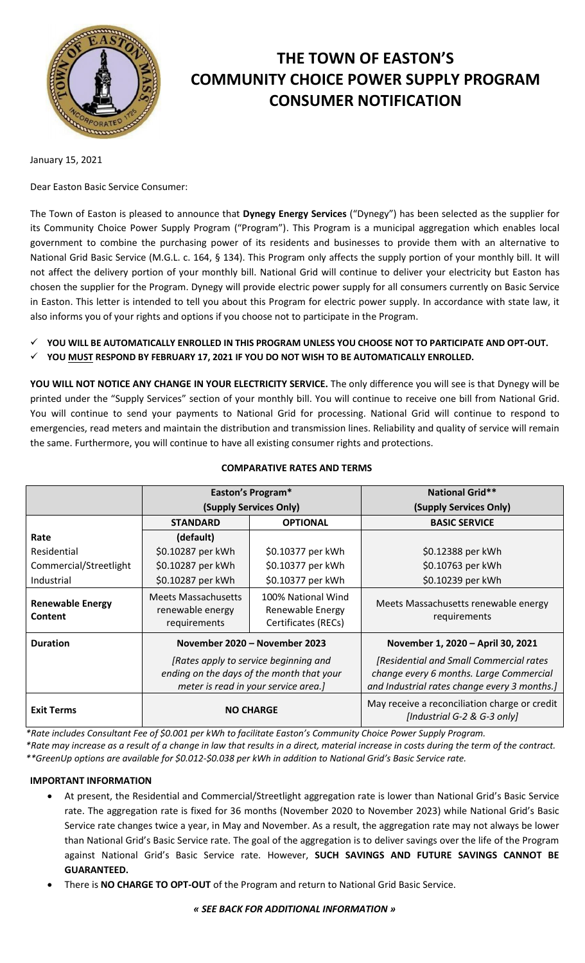

# **THE TOWN OF EASTON'S COMMUNITY CHOICE POWER SUPPLY PROGRAM CONSUMER NOTIFICATION**

January 15, 2021

Dear Easton Basic Service Consumer:

The Town of Easton is pleased to announce that **Dynegy Energy Services** ("Dynegy") has been selected as the supplier for its Community Choice Power Supply Program ("Program"). This Program is a municipal aggregation which enables local government to combine the purchasing power of its residents and businesses to provide them with an alternative to National Grid Basic Service (M.G.L. c. 164, § 134). This Program only affects the supply portion of your monthly bill. It will not affect the delivery portion of your monthly bill. National Grid will continue to deliver your electricity but Easton has chosen the supplier for the Program. Dynegy will provide electric power supply for all consumers currently on Basic Service in Easton. This letter is intended to tell you about this Program for electric power supply. In accordance with state law, it also informs you of your rights and options if you choose not to participate in the Program.

**YOU WILL BE AUTOMATICALLY ENROLLED IN THIS PROGRAM UNLESS YOU CHOOSE NOT TO PARTICIPATE AND OPT-OUT.** 

**YOU MUST RESPOND BY FEBRUARY 17, 2021 IF YOU DO NOT WISH TO BE AUTOMATICALLY ENROLLED.**

**YOU WILL NOT NOTICE ANY CHANGE IN YOUR ELECTRICITY SERVICE.** The only difference you will see is that Dynegy will be printed under the "Supply Services" section of your monthly bill. You will continue to receive one bill from National Grid. You will continue to send your payments to National Grid for processing. National Grid will continue to respond to emergencies, read meters and maintain the distribution and transmission lines. Reliability and quality of service will remain the same. Furthermore, you will continue to have all existing consumer rights and protections.

|                                           | Easton's Program*                                                                                                          |                                                               | <b>National Grid**</b>                                                                                                             |
|-------------------------------------------|----------------------------------------------------------------------------------------------------------------------------|---------------------------------------------------------------|------------------------------------------------------------------------------------------------------------------------------------|
|                                           | (Supply Services Only)                                                                                                     |                                                               | (Supply Services Only)                                                                                                             |
|                                           | <b>STANDARD</b>                                                                                                            | <b>OPTIONAL</b>                                               | <b>BASIC SERVICE</b>                                                                                                               |
| Rate                                      | (default)                                                                                                                  |                                                               |                                                                                                                                    |
| Residential                               | \$0.10287 per kWh                                                                                                          | \$0.10377 per kWh                                             | \$0.12388 per kWh                                                                                                                  |
| Commercial/Streetlight                    | \$0.10287 per kWh                                                                                                          | \$0.10377 per kWh                                             | \$0.10763 per kWh                                                                                                                  |
| Industrial                                | \$0.10287 per kWh                                                                                                          | \$0.10377 per kWh                                             | \$0.10239 per kWh                                                                                                                  |
| <b>Renewable Energy</b><br><b>Content</b> | <b>Meets Massachusetts</b><br>renewable energy<br>requirements                                                             | 100% National Wind<br>Renewable Energy<br>Certificates (RECs) | Meets Massachusetts renewable energy<br>requirements                                                                               |
| <b>Duration</b>                           | November 2020 - November 2023                                                                                              |                                                               | November 1, 2020 - April 30, 2021                                                                                                  |
|                                           | [Rates apply to service beginning and<br>ending on the days of the month that your<br>meter is read in your service area.] |                                                               | [Residential and Small Commercial rates<br>change every 6 months. Large Commercial<br>and Industrial rates change every 3 months.] |
| <b>Exit Terms</b>                         | <b>NO CHARGE</b>                                                                                                           |                                                               | May receive a reconciliation charge or credit<br>[Industrial G-2 & G-3 only]                                                       |

### **COMPARATIVE RATES AND TERMS**

*\*Rate includes Consultant Fee of \$0.001 per kWh to facilitate Easton's Community Choice Power Supply Program.*

*\*Rate may increase as a result of a change in law that results in a direct, material increase in costs during the term of the contract. \*\*GreenUp options are available for \$0.012-\$0.038 per kWh in addition to National Grid's Basic Service rate.*

## **IMPORTANT INFORMATION**

- At present, the Residential and Commercial/Streetlight aggregation rate is lower than National Grid's Basic Service rate. The aggregation rate is fixed for 36 months (November 2020 to November 2023) while National Grid's Basic Service rate changes twice a year, in May and November. As a result, the aggregation rate may not always be lower than National Grid's Basic Service rate. The goal of the aggregation is to deliver savings over the life of the Program against National Grid's Basic Service rate. However, **SUCH SAVINGS AND FUTURE SAVINGS CANNOT BE GUARANTEED.**
- There is **NO CHARGE TO OPT-OUT** of the Program and return to National Grid Basic Service.